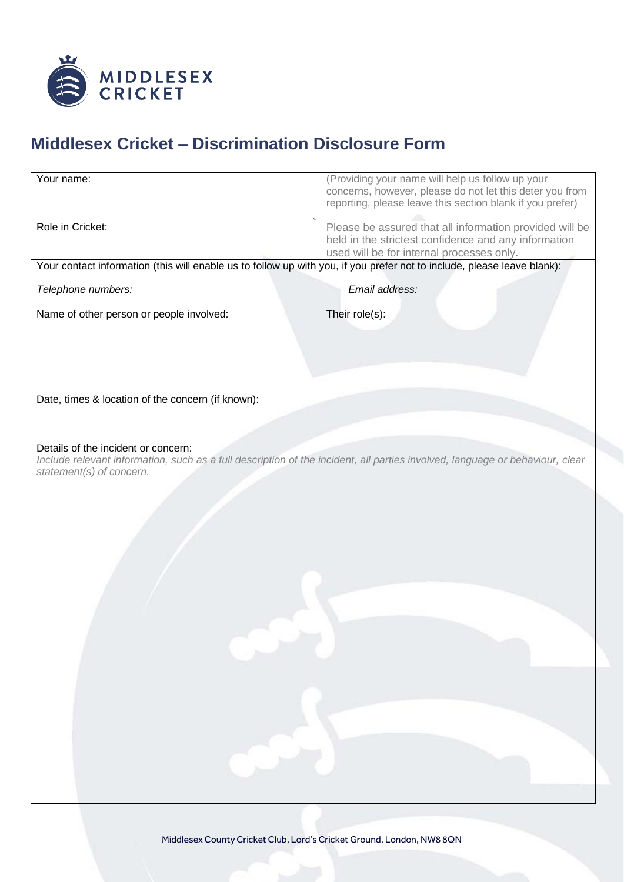

## **Middlesex Cricket – Discrimination Disclosure Form**

| Your name:                                                                                                                                                          | (Providing your name will help us follow up your                                                                      |
|---------------------------------------------------------------------------------------------------------------------------------------------------------------------|-----------------------------------------------------------------------------------------------------------------------|
|                                                                                                                                                                     | concerns, however, please do not let this deter you from<br>reporting, please leave this section blank if you prefer) |
| Role in Cricket:                                                                                                                                                    | Please be assured that all information provided will be                                                               |
|                                                                                                                                                                     | held in the strictest confidence and any information<br>used will be for internal processes only.                     |
| Your contact information (this will enable us to follow up with you, if you prefer not to include, please leave blank):                                             |                                                                                                                       |
| Telephone numbers:                                                                                                                                                  | Email address:                                                                                                        |
| Name of other person or people involved:                                                                                                                            | Their role(s):                                                                                                        |
|                                                                                                                                                                     |                                                                                                                       |
|                                                                                                                                                                     |                                                                                                                       |
|                                                                                                                                                                     |                                                                                                                       |
| Date, times & location of the concern (if known):                                                                                                                   |                                                                                                                       |
|                                                                                                                                                                     |                                                                                                                       |
| Details of the incident or concern:<br>Include relevant information, such as a full description of the incident, all parties involved, language or behaviour, clear |                                                                                                                       |
| statement(s) of concern.                                                                                                                                            |                                                                                                                       |
|                                                                                                                                                                     |                                                                                                                       |
|                                                                                                                                                                     |                                                                                                                       |
|                                                                                                                                                                     |                                                                                                                       |
|                                                                                                                                                                     |                                                                                                                       |
|                                                                                                                                                                     |                                                                                                                       |
|                                                                                                                                                                     |                                                                                                                       |
|                                                                                                                                                                     |                                                                                                                       |
|                                                                                                                                                                     |                                                                                                                       |
|                                                                                                                                                                     |                                                                                                                       |
|                                                                                                                                                                     |                                                                                                                       |
|                                                                                                                                                                     |                                                                                                                       |
|                                                                                                                                                                     |                                                                                                                       |
|                                                                                                                                                                     |                                                                                                                       |
|                                                                                                                                                                     |                                                                                                                       |
|                                                                                                                                                                     |                                                                                                                       |